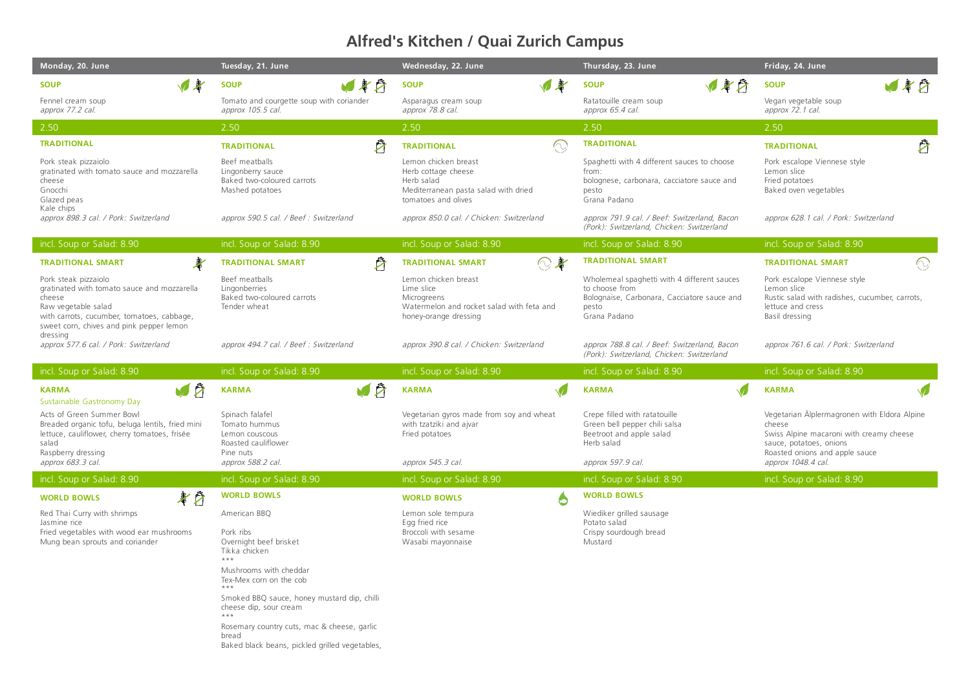## **Alfred's Kitchen / Quai Zurich Campus**

| Monday, 20. June                                                                                                                                                                                                                                    | Tuesday, 21. June                                                                                                                                                                 | Wednesday, 22. June                                                                                                      | Thursday, 23. June                                                                                                                    | Friday, 24. June                                                                                                                     |
|-----------------------------------------------------------------------------------------------------------------------------------------------------------------------------------------------------------------------------------------------------|-----------------------------------------------------------------------------------------------------------------------------------------------------------------------------------|--------------------------------------------------------------------------------------------------------------------------|---------------------------------------------------------------------------------------------------------------------------------------|--------------------------------------------------------------------------------------------------------------------------------------|
| 專<br><b>SOUP</b>                                                                                                                                                                                                                                    | 日本日<br><b>SOUP</b>                                                                                                                                                                | $\sqrt{*}$<br><b>SOUP</b>                                                                                                | リギウ<br><b>SOUP</b>                                                                                                                    | 487<br><b>SOUP</b>                                                                                                                   |
| Fennel cream soup<br>approx 77.2 cal.                                                                                                                                                                                                               | Tomato and courgette soup with coriander<br>approx 105.5 cal.                                                                                                                     | Asparagus cream soup<br>approx 78.8 cal.                                                                                 | Ratatouille cream soup<br>approx 65.4 cal.                                                                                            | Vegan vegetable soup<br>approx 72.1 cal.                                                                                             |
| 2.50                                                                                                                                                                                                                                                | 2.50                                                                                                                                                                              | 2.50                                                                                                                     | 2.50                                                                                                                                  | 2.50                                                                                                                                 |
| <b>TRADITIONAL</b>                                                                                                                                                                                                                                  | Ž<br><b>TRADITIONAL</b>                                                                                                                                                           | $\widehat{\mathbb{C}}$<br><b>TRADITIONAL</b>                                                                             | <b>TRADITIONAL</b>                                                                                                                    | $\mathcal{B}$<br><b>TRADITIONAL</b>                                                                                                  |
| Pork steak pizzaiolo<br>gratinated with tomato sauce and mozzarella<br>cheese<br>Gnocchi<br>Glazed peas<br>Kale chips<br>approx 898.3 cal. / Pork: Switzerland                                                                                      | Beef meatballs<br>Lingonberry sauce<br>Baked two-coloured carrots<br>Mashed potatoes                                                                                              | Lemon chicken breast<br>Herb cottage cheese<br>Herb salad<br>Mediterranean pasta salad with dried<br>tomatoes and olives | Spaghetti with 4 different sauces to choose<br>from:<br>bolognese, carbonara, cacciatore sauce and<br>pesto<br>Grana Padano           | Pork escalope Viennese style<br>Lemon slice<br>Fried potatoes<br>Baked oven vegetables                                               |
|                                                                                                                                                                                                                                                     | approx 590.5 cal. / Beef : Switzerland                                                                                                                                            | approx 850.0 cal. / Chicken: Switzerland                                                                                 | approx 791.9 cal. / Beef: Switzerland, Bacon<br>(Pork): Switzerland, Chicken: Switzerland                                             | approx 628.1 cal. / Pork: Switzerland                                                                                                |
| incl. Soup or Salad: 8.90                                                                                                                                                                                                                           | incl. Soup or Salad: 8.90                                                                                                                                                         | incl. Soup or Salad: 8.90                                                                                                | incl. Soup or Salad: 8.90                                                                                                             | incl. Soup or Salad: 8.90                                                                                                            |
| $\frac{1}{2}$<br><b>TRADITIONAL SMART</b>                                                                                                                                                                                                           | Å<br><b>TRADITIONAL SMART</b>                                                                                                                                                     | $\mathbb{Q}$ to<br><b>TRADITIONAL SMART</b>                                                                              | <b>TRADITIONAL SMART</b>                                                                                                              | $\odot$<br><b>TRADITIONAL SMART</b>                                                                                                  |
| Pork steak pizzaiolo<br>gratinated with tomato sauce and mozzarella<br>cheese<br>Raw vegetable salad<br>with carrots, cucumber, tomatoes, cabbage,<br>sweet corn, chives and pink pepper lemon<br>dressing<br>approx 577.6 cal. / Pork: Switzerland | Beef meatballs<br>Lingonberries<br>Baked two-coloured carrots<br>Tender wheat                                                                                                     | Lemon chicken breast<br>Lime slice<br>Microgreens<br>Watermelon and rocket salad with feta and<br>honey-orange dressing  | Wholemeal spaghetti with 4 different sauces<br>to choose from<br>Bolognaise, Carbonara, Cacciatore sauce and<br>pesto<br>Grana Padano | Pork escalope Viennese style<br>Lemon slice<br>Rustic salad with radishes, cucumber, carrots,<br>lettuce and cress<br>Basil dressing |
|                                                                                                                                                                                                                                                     | approx 494.7 cal. / Beef : Switzerland                                                                                                                                            | approx 390.8 cal. / Chicken: Switzerland                                                                                 | approx 788.8 cal. / Beef: Switzerland, Bacon                                                                                          | approx 761.6 cal. / Pork: Switzerland                                                                                                |
|                                                                                                                                                                                                                                                     |                                                                                                                                                                                   |                                                                                                                          | (Pork): Switzerland, Chicken: Switzerland                                                                                             |                                                                                                                                      |
| incl. Soup or Salad: 8.90                                                                                                                                                                                                                           | incl. Soup or Salad: 8.90                                                                                                                                                         | incl. Soup or Salad: 8.90                                                                                                | incl. Soup or Salad: 8.90                                                                                                             | incl. Soup or Salad: 8.90                                                                                                            |
| VØ<br><b>KARMA</b><br>Sustainable Gastronomy Day                                                                                                                                                                                                    | V À<br><b>KARMA</b>                                                                                                                                                               | <b>KARMA</b>                                                                                                             | <b>KARMA</b>                                                                                                                          | <b>KARMA</b>                                                                                                                         |
| Acts of Green Summer Bowl<br>Breaded organic tofu, beluga lentils, fried mini<br>lettuce, cauliflower, cherry tomatoes, frisée<br>salad                                                                                                             | Spinach falafel<br>Tomato hummus<br>Lemon couscous<br>Roasted cauliflower<br>Pine nuts                                                                                            | Vegetarian gyros made from soy and wheat<br>with tzatziki and ajvar<br>Fried potatoes                                    | Crepe filled with ratatouille<br>Green bell pepper chili salsa<br>Beetroot and apple salad<br>Herb salad                              | Vegetarian Älplermagronen with Eldora Alpine<br>cheese<br>Swiss Alpine macaroni with creamy cheese<br>sauce, potatoes, onions        |
| Raspberry dressing<br>approx 683.3 cal.                                                                                                                                                                                                             | approx 588.2 cal.                                                                                                                                                                 | approx 545.3 cal.                                                                                                        | approx 597.9 cal.                                                                                                                     | Roasted onions and apple sauce<br>approx 1048.4 cal.                                                                                 |
| incl. Soup or Salad: 8.90                                                                                                                                                                                                                           | incl. Soup or Salad: 8.90                                                                                                                                                         | incl. Soup or Salad: 8.90                                                                                                | incl. Soup or Salad: 8.90                                                                                                             | incl. Soup or Salad: 8.90                                                                                                            |
| 孝白<br><b>WORLD BOWLS</b>                                                                                                                                                                                                                            | <b>WORLD BOWLS</b>                                                                                                                                                                | <b>WORLD BOWLS</b><br>6                                                                                                  | <b>WORLD BOWLS</b>                                                                                                                    |                                                                                                                                      |
| Red Thai Curry with shrimps<br>Jasmine rice<br>Fried vegetables with wood ear mushrooms<br>Mung bean sprouts and coriander                                                                                                                          | American BBQ<br>Pork ribs<br>Overnight beef brisket<br>Tikka chicken<br>$***$<br>Mushrooms with cheddar<br>Tex-Mex corn on the cob<br>Smoked BBQ sauce, honey mustard dip, chilli | Lemon sole tempura<br>Egg fried rice<br>Broccoli with sesame<br>Wasabi mayonnaise                                        | Wiediker grilled sausage<br>Potato salad<br>Crispy sourdough bread<br>Mustard                                                         |                                                                                                                                      |